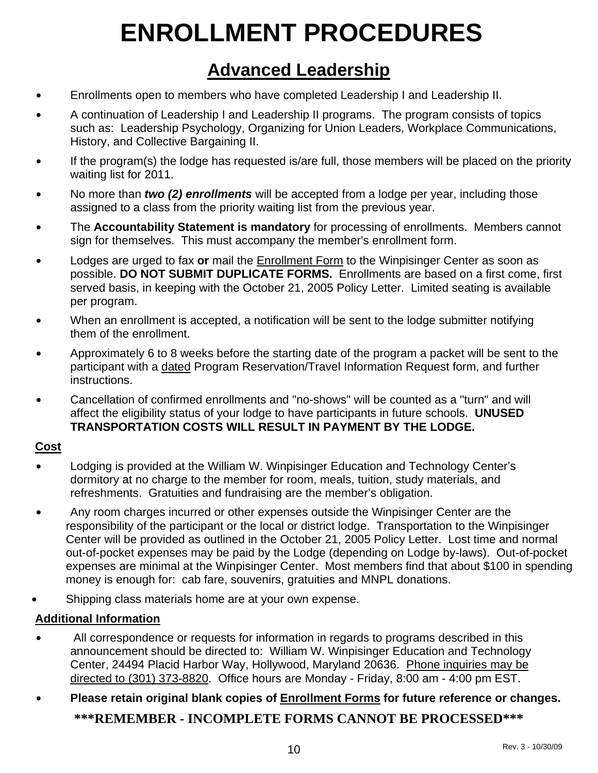# **ENROLLMENT PROCEDURES**

# **Advanced Leadership**

- Enrollments open to members who have completed Leadership I and Leadership II.
- A continuation of Leadership I and Leadership II programs. The program consists of topics such as: Leadership Psychology, Organizing for Union Leaders, Workplace Communications, History, and Collective Bargaining II.
- If the program(s) the lodge has requested is/are full, those members will be placed on the priority waiting list for 2011.
- No more than *two (2) enrollments* will be accepted from a lodge per year, including those assigned to a class from the priority waiting list from the previous year.
- The **Accountability Statement is mandatory** for processing of enrollments. Members cannot sign for themselves. This must accompany the member's enrollment form.
- Lodges are urged to fax or mail the **Enrollment Form** to the Winpisinger Center as soon as possible. **DO NOT SUBMIT DUPLICATE FORMS.** Enrollments are based on a first come, first served basis, in keeping with the October 21, 2005 Policy Letter. Limited seating is available per program.
- When an enrollment is accepted, a notification will be sent to the lodge submitter notifying them of the enrollment.
- Approximately 6 to 8 weeks before the starting date of the program a packet will be sent to the participant with a dated Program Reservation/Travel Information Request form, and further instructions.
- Cancellation of confirmed enrollments and "no-shows" will be counted as a "turn" and will affect the eligibility status of your lodge to have participants in future schools. **UNUSED TRANSPORTATION COSTS WILL RESULT IN PAYMENT BY THE LODGE.**

### **Cost**

- Lodging is provided at the William W. Winpisinger Education and Technology Center's dormitory at no charge to the member for room, meals, tuition, study materials, and refreshments. Gratuities and fundraising are the member's obligation.
- Any room charges incurred or other expenses outside the Winpisinger Center are the responsibility of the participant or the local or district lodge. Transportation to the Winpisinger Center will be provided as outlined in the October 21, 2005 Policy Letter. Lost time and normal out-of-pocket expenses may be paid by the Lodge (depending on Lodge by-laws). Out-of-pocket expenses are minimal at the Winpisinger Center. Most members find that about \$100 in spending money is enough for: cab fare, souvenirs, gratuities and MNPL donations.
- Shipping class materials home are at your own expense.

## **Additional Information**

- All correspondence or requests for information in regards to programs described in this announcement should be directed to: William W. Winpisinger Education and Technology Center, 24494 Placid Harbor Way, Hollywood, Maryland 20636. Phone inquiries may be directed to (301) 373-8820. Office hours are Monday - Friday, 8:00 am - 4:00 pm EST.
- \$ **Please retain original blank copies of Enrollment Forms for future reference or changes. \*\*\*REMEMBER - INCOMPLETE FORMS CANNOT BE PROCESSED\*\*\***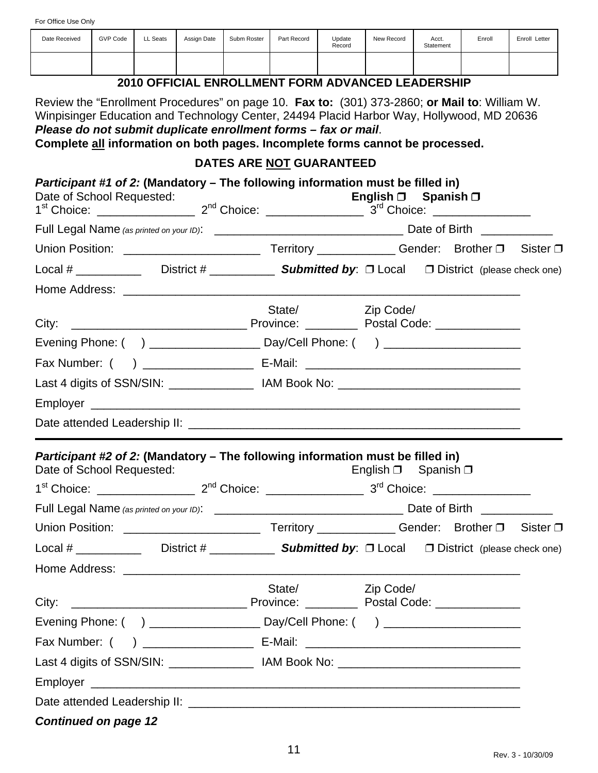| Date Received                                                                                                                                                                                                                                                                                                                                 | <b>GVP Code</b> | LL Seats | Assign Date | Subm Roster | Part Record              | Update<br>Record | New Record                                        | Acct.<br>Statement | Enroll                                                                            | Enroll Letter |
|-----------------------------------------------------------------------------------------------------------------------------------------------------------------------------------------------------------------------------------------------------------------------------------------------------------------------------------------------|-----------------|----------|-------------|-------------|--------------------------|------------------|---------------------------------------------------|--------------------|-----------------------------------------------------------------------------------|---------------|
|                                                                                                                                                                                                                                                                                                                                               |                 |          |             |             |                          |                  |                                                   |                    |                                                                                   |               |
|                                                                                                                                                                                                                                                                                                                                               |                 |          |             |             |                          |                  | 2010 OFFICIAL ENROLLMENT FORM ADVANCED LEADERSHIP |                    |                                                                                   |               |
| Review the "Enrollment Procedures" on page 10. Fax to: (301) 373-2860; or Mail to: William W.<br>Winpisinger Education and Technology Center, 24494 Placid Harbor Way, Hollywood, MD 20636<br>Please do not submit duplicate enrollment forms - fax or mail.<br>Complete all information on both pages. Incomplete forms cannot be processed. |                 |          |             |             |                          |                  |                                                   |                    |                                                                                   |               |
|                                                                                                                                                                                                                                                                                                                                               |                 |          |             |             | DATES ARE NOT GUARANTEED |                  |                                                   |                    |                                                                                   |               |
| Participant #1 of 2: (Mandatory – The following information must be filled in)<br>Date of School Requested:                                                                                                                                                                                                                                   |                 |          |             |             |                          |                  | English $\Box$ Spanish $\Box$                     |                    |                                                                                   |               |
|                                                                                                                                                                                                                                                                                                                                               |                 |          |             |             |                          |                  |                                                   |                    |                                                                                   |               |
|                                                                                                                                                                                                                                                                                                                                               |                 |          |             |             |                          |                  |                                                   |                    |                                                                                   |               |
|                                                                                                                                                                                                                                                                                                                                               |                 |          |             |             |                          |                  |                                                   |                    |                                                                                   |               |
|                                                                                                                                                                                                                                                                                                                                               |                 |          |             |             |                          |                  |                                                   |                    |                                                                                   |               |
|                                                                                                                                                                                                                                                                                                                                               |                 |          |             |             | State/                   |                  | Zip Code/                                         |                    |                                                                                   |               |
| City:                                                                                                                                                                                                                                                                                                                                         |                 |          |             |             |                          |                  |                                                   |                    |                                                                                   |               |
|                                                                                                                                                                                                                                                                                                                                               |                 |          |             |             |                          |                  |                                                   |                    |                                                                                   |               |
|                                                                                                                                                                                                                                                                                                                                               |                 |          |             |             |                          |                  |                                                   |                    | Last 4 digits of SSN/SIN: ___________________ IAM Book No: ______________________ |               |
|                                                                                                                                                                                                                                                                                                                                               |                 |          |             |             |                          |                  |                                                   |                    |                                                                                   |               |
|                                                                                                                                                                                                                                                                                                                                               |                 |          |             |             |                          |                  |                                                   |                    |                                                                                   |               |
| Participant #2 of 2: (Mandatory – The following information must be filled in)                                                                                                                                                                                                                                                                |                 |          |             |             |                          |                  |                                                   |                    |                                                                                   |               |
| Date of School Requested:                                                                                                                                                                                                                                                                                                                     |                 |          |             |             |                          |                  | English $\Box$ Spanish $\Box$                     |                    |                                                                                   |               |
|                                                                                                                                                                                                                                                                                                                                               |                 |          |             |             |                          |                  |                                                   |                    |                                                                                   |               |
|                                                                                                                                                                                                                                                                                                                                               |                 |          |             |             |                          |                  |                                                   |                    |                                                                                   |               |
|                                                                                                                                                                                                                                                                                                                                               |                 |          |             |             |                          |                  |                                                   |                    |                                                                                   |               |
| Local # ______________ District # ______________ Submitted by: $\Box$ Local $\Box$ District (please check one)                                                                                                                                                                                                                                |                 |          |             |             |                          |                  |                                                   |                    |                                                                                   |               |
|                                                                                                                                                                                                                                                                                                                                               |                 |          |             |             | State/                   |                  |                                                   |                    |                                                                                   |               |
|                                                                                                                                                                                                                                                                                                                                               |                 |          |             |             |                          |                  | Zip Code/                                         |                    |                                                                                   |               |
|                                                                                                                                                                                                                                                                                                                                               |                 |          |             |             |                          |                  |                                                   |                    |                                                                                   |               |
| Fax Number: (                                                                                                                                                                                                                                                                                                                                 |                 |          |             |             |                          |                  |                                                   |                    |                                                                                   |               |
| Last 4 digits of SSN/SIN: ___________________ IAM Book No: ______________________                                                                                                                                                                                                                                                             |                 |          |             |             |                          |                  |                                                   |                    |                                                                                   |               |
|                                                                                                                                                                                                                                                                                                                                               |                 |          |             |             |                          |                  |                                                   |                    |                                                                                   |               |
|                                                                                                                                                                                                                                                                                                                                               |                 |          |             |             |                          |                  |                                                   |                    |                                                                                   |               |
| <b>Continued on page 12</b>                                                                                                                                                                                                                                                                                                                   |                 |          |             |             |                          |                  |                                                   |                    |                                                                                   |               |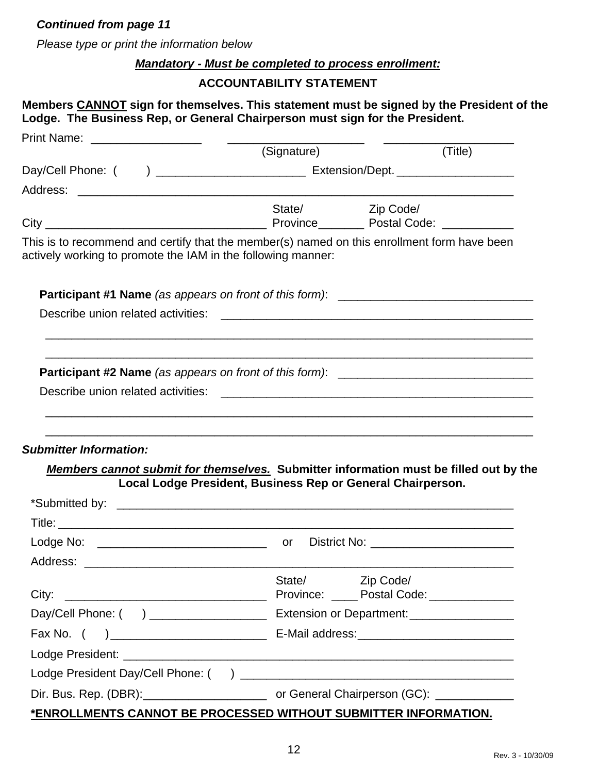#### *Continued from page 11*

*Please type or print the information below*

#### *Mandatory - Must be completed to process enrollment:*

#### **ACCOUNTABILITY STATEMENT**

#### **Members CANNOT sign for themselves. This statement must be signed by the President of the Lodge. The Business Rep, or General Chairperson must sign for the President.**

|                                                                                                                                                             | (Signature)                                                 | (Title)                                                                               |
|-------------------------------------------------------------------------------------------------------------------------------------------------------------|-------------------------------------------------------------|---------------------------------------------------------------------------------------|
|                                                                                                                                                             |                                                             |                                                                                       |
|                                                                                                                                                             |                                                             |                                                                                       |
|                                                                                                                                                             | State/                                                      | Zip Code/                                                                             |
| This is to recommend and certify that the member(s) named on this enrollment form have been<br>actively working to promote the IAM in the following manner: |                                                             |                                                                                       |
|                                                                                                                                                             |                                                             |                                                                                       |
|                                                                                                                                                             |                                                             |                                                                                       |
|                                                                                                                                                             |                                                             | Participant #2 Name (as appears on front of this form): ________________________      |
| <b>Submitter Information:</b>                                                                                                                               |                                                             | Members cannot submit for themselves. Submitter information must be filled out by the |
|                                                                                                                                                             | Local Lodge President, Business Rep or General Chairperson. |                                                                                       |
|                                                                                                                                                             |                                                             |                                                                                       |
|                                                                                                                                                             |                                                             |                                                                                       |
|                                                                                                                                                             |                                                             | District No: ______________________________                                           |
| City:                                                                                                                                                       | State/                                                      | Zip Code/<br>Province: _____ Postal Code: ______________                              |
|                                                                                                                                                             |                                                             |                                                                                       |
| Fax No. (                                                                                                                                                   |                                                             |                                                                                       |
|                                                                                                                                                             |                                                             |                                                                                       |

| Dir. Bus. Rep. (DBR): | or General Chairperson (GC): |
|-----------------------|------------------------------|
|-----------------------|------------------------------|

# **\*ENROLLMENTS CANNOT BE PROCESSED WITHOUT SUBMITTER INFORMATION.**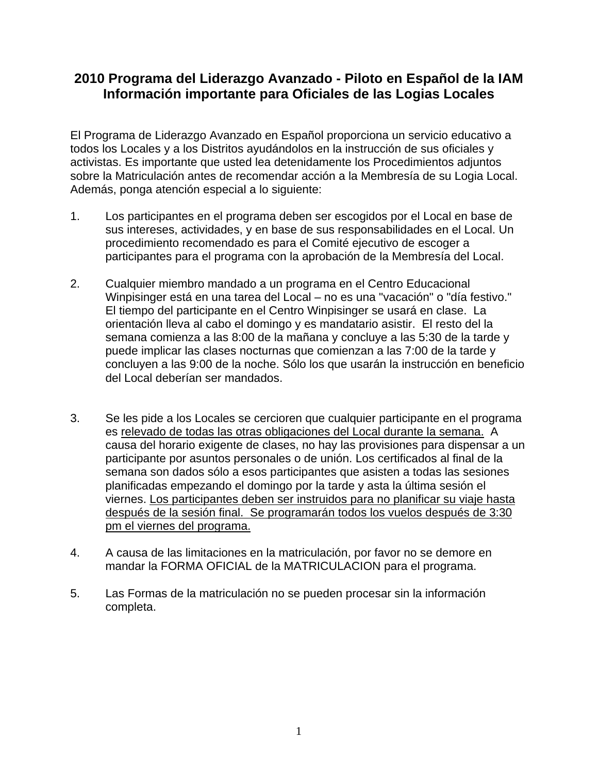# **2010 Programa del Liderazgo Avanzado - Piloto en Español de la IAM Información importante para Oficiales de las Logias Locales**

El Programa de Liderazgo Avanzado en Español proporciona un servicio educativo a todos los Locales y a los Distritos ayudándolos en la instrucción de sus oficiales y activistas. Es importante que usted lea detenidamente los Procedimientos adjuntos sobre la Matriculación antes de recomendar acción a la Membresía de su Logia Local. Además, ponga atención especial a lo siguiente:

- 1. Los participantes en el programa deben ser escogidos por el Local en base de sus intereses, actividades, y en base de sus responsabilidades en el Local. Un procedimiento recomendado es para el Comité ejecutivo de escoger a participantes para el programa con la aprobación de la Membresía del Local.
- 2. Cualquier miembro mandado a un programa en el Centro Educacional Winpisinger está en una tarea del Local – no es una "vacación" o "día festivo." El tiempo del participante en el Centro Winpisinger se usará en clase. La orientación lleva al cabo el domingo y es mandatario asistir. El resto del la semana comienza a las 8:00 de la mañana y concluye a las 5:30 de la tarde y puede implicar las clases nocturnas que comienzan a las 7:00 de la tarde y concluyen a las 9:00 de la noche. Sólo los que usarán la instrucción en beneficio del Local deberían ser mandados.
- 3. Se les pide a los Locales se cercioren que cualquier participante en el programa es relevado de todas las otras obligaciones del Local durante la semana. A causa del horario exigente de clases, no hay las provisiones para dispensar a un participante por asuntos personales o de unión. Los certificados al final de la semana son dados sólo a esos participantes que asisten a todas las sesiones planificadas empezando el domingo por la tarde y asta la última sesión el viernes. Los participantes deben ser instruidos para no planificar su viaje hasta después de la sesión final. Se programarán todos los vuelos después de 3:30 pm el viernes del programa.
- 4. A causa de las limitaciones en la matriculación, por favor no se demore en mandar la FORMA OFICIAL de la MATRICULACION para el programa.
- 5. Las Formas de la matriculación no se pueden procesar sin la información completa.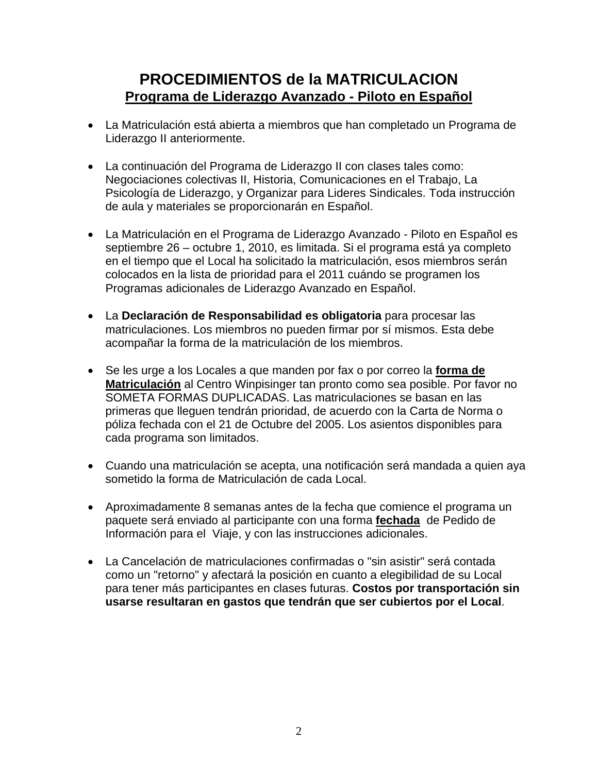# **PROCEDIMIENTOS de la MATRICULACION Programa de Liderazgo Avanzado - Piloto en Español**

- La Matriculación está abierta a miembros que han completado un Programa de Liderazgo II anteriormente.
- La continuación del Programa de Liderazgo II con clases tales como: Negociaciones colectivas II, Historia, Comunicaciones en el Trabajo, La Psicología de Liderazgo, y Organizar para Lideres Sindicales. Toda instrucción de aula y materiales se proporcionarán en Español.
- La Matriculación en el Programa de Liderazgo Avanzado Piloto en Español es septiembre 26 – octubre 1, 2010, es limitada. Si el programa está ya completo en el tiempo que el Local ha solicitado la matriculación, esos miembros serán colocados en la lista de prioridad para el 2011 cuándo se programen los Programas adicionales de Liderazgo Avanzado en Español.
- La **Declaración de Responsabilidad es obligatoria** para procesar las matriculaciones. Los miembros no pueden firmar por sí mismos. Esta debe acompañar la forma de la matriculación de los miembros.
- Se les urge a los Locales a que manden por fax o por correo la **forma de Matriculación** al Centro Winpisinger tan pronto como sea posible. Por favor no SOMETA FORMAS DUPLICADAS. Las matriculaciones se basan en las primeras que lleguen tendrán prioridad, de acuerdo con la Carta de Norma o póliza fechada con el 21 de Octubre del 2005. Los asientos disponibles para cada programa son limitados.
- Cuando una matriculación se acepta, una notificación será mandada a quien aya sometido la forma de Matriculación de cada Local.
- Aproximadamente 8 semanas antes de la fecha que comience el programa un paquete será enviado al participante con una forma **fechada** de Pedido de Información para el Viaje, y con las instrucciones adicionales.
- La Cancelación de matriculaciones confirmadas o "sin asistir" será contada como un "retorno" y afectará la posición en cuanto a elegibilidad de su Local para tener más participantes en clases futuras. **Costos por transportación sin usarse resultaran en gastos que tendrán que ser cubiertos por el Local**.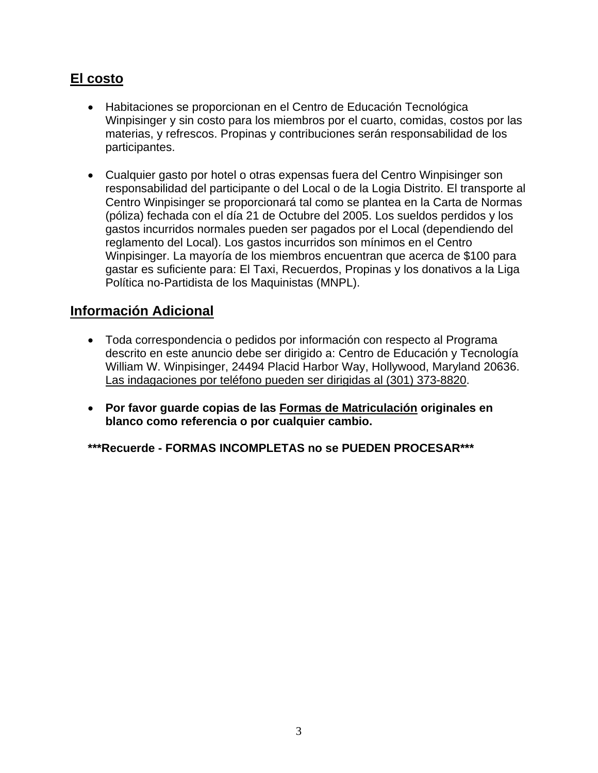# **El costo**

- Habitaciones se proporcionan en el Centro de Educación Tecnológica Winpisinger y sin costo para los miembros por el cuarto, comidas, costos por las materias, y refrescos. Propinas y contribuciones serán responsabilidad de los participantes.
- Cualquier gasto por hotel o otras expensas fuera del Centro Winpisinger son responsabilidad del participante o del Local o de la Logia Distrito. El transporte al Centro Winpisinger se proporcionará tal como se plantea en la Carta de Normas (póliza) fechada con el día 21 de Octubre del 2005. Los sueldos perdidos y los gastos incurridos normales pueden ser pagados por el Local (dependiendo del reglamento del Local). Los gastos incurridos son mínimos en el Centro Winpisinger. La mayoría de los miembros encuentran que acerca de \$100 para gastar es suficiente para: El Taxi, Recuerdos, Propinas y los donativos a la Liga Política no-Partidista de los Maquinistas (MNPL).

# **Información Adicional**

- Toda correspondencia o pedidos por información con respecto al Programa descrito en este anuncio debe ser dirigido a: Centro de Educación y Tecnología William W. Winpisinger, 24494 Placid Harbor Way, Hollywood, Maryland 20636. Las indagaciones por teléfono pueden ser dirigidas al (301) 373-8820.
- **Por favor guarde copias de las Formas de Matriculación originales en blanco como referencia o por cualquier cambio.**

**\*\*\*Recuerde - FORMAS INCOMPLETAS no se PUEDEN PROCESAR\*\*\***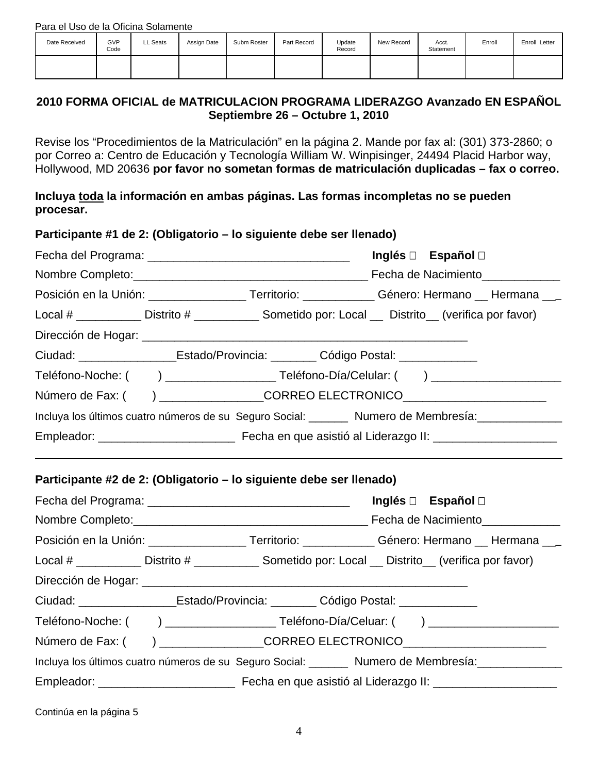| Date Received | GVP<br>Code | LL Seats | Assign Date | Subm Roster | Part Record | Update<br>Record | New Record | Acct.<br>Statement | Enroll | Enroll Letter |
|---------------|-------------|----------|-------------|-------------|-------------|------------------|------------|--------------------|--------|---------------|
|               |             |          |             |             |             |                  |            |                    |        |               |

### **2010 FORMA OFICIAL de MATRICULACION PROGRAMA LIDERAZGO Avanzado EN ESPAÑOL Septiembre 26 – Octubre 1, 2010**

Revise los "Procedimientos de la Matriculación" en la página 2. Mande por fax al: (301) 373-2860; o por Correo a: Centro de Educación y Tecnología William W. Winpisinger, 24494 Placid Harbor way, Hollywood, MD 20636 **por favor no sometan formas de matriculación duplicadas – fax o correo.**

**Incluya toda la información en ambas páginas. Las formas incompletas no se pueden procesar.** 

| Participante #1 de 2: (Obligatorio – lo siguiente debe ser llenado)                   |  |                                                                                                       |
|---------------------------------------------------------------------------------------|--|-------------------------------------------------------------------------------------------------------|
|                                                                                       |  | Inglés □ Español □                                                                                    |
|                                                                                       |  |                                                                                                       |
|                                                                                       |  | Posición en la Unión: __________________Territorio: ____________Género: Hermano __ Hermana ___        |
|                                                                                       |  | Local # ____________ Distrito # ____________ Sometido por: Local ___ Distrito __ (verifica por favor) |
|                                                                                       |  |                                                                                                       |
| Ciudad: ____________________Estado/Provincia: _________ Código Postal: ______________ |  |                                                                                                       |
|                                                                                       |  |                                                                                                       |
|                                                                                       |  | Número de Fax: () ___________________CORREO ELECTRONICO_________________________                      |
|                                                                                       |  | Incluya los últimos cuatro números de su Seguro Social: _______ Numero de Membresía: ______________   |
|                                                                                       |  |                                                                                                       |
| Participante #2 de 2: (Obligatorio – lo siguiente debe ser llenado)                   |  | Inglés □ Español □                                                                                    |
|                                                                                       |  |                                                                                                       |
|                                                                                       |  | Posición en la Unión: __________________Territorio: ____________Género: Hermano __ Hermana ___        |
|                                                                                       |  | Local # ___________ Distrito # ____________ Sometido por: Local __ Distrito__ (verifica por favor)    |
|                                                                                       |  |                                                                                                       |
| Ciudad: ____________________Estado/Provincia: _________ Código Postal: ___________    |  |                                                                                                       |
|                                                                                       |  |                                                                                                       |
|                                                                                       |  | Número de Fax: () ____________________CORREO ELECTRONICO________________________                      |
|                                                                                       |  | Incluya los últimos cuatro números de su Seguro Social: _______ Numero de Membresía: ______________   |
|                                                                                       |  |                                                                                                       |
|                                                                                       |  |                                                                                                       |

Continúa en la página 5